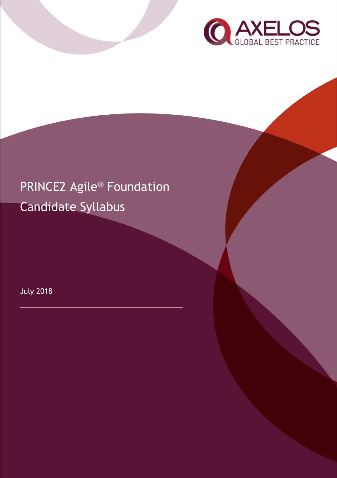

# PRINCE2 Agile® Foundation Candidate Syllabus

July 2018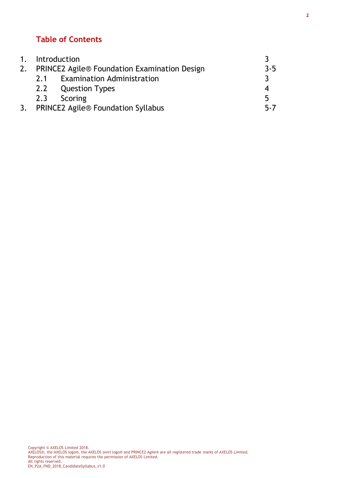# **Table of Contents**

|    | 1. Introduction                                     |                                           |         |
|----|-----------------------------------------------------|-------------------------------------------|---------|
| 2. | <b>PRINCE2 Agile® Foundation Examination Design</b> |                                           | $3 - 5$ |
|    |                                                     | 2.1 Examination Administration            |         |
|    |                                                     | 2.2 Question Types                        | 4       |
|    |                                                     | 2.3 Scoring                               | 5       |
| 3. |                                                     | <b>PRINCE2 Agile® Foundation Syllabus</b> | $5 - 7$ |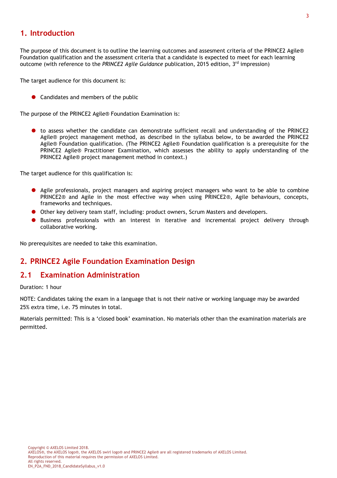#### **1. Introduction**

The purpose of this document is to outline the learning outcomes and assesment criteria of the PRINCE2 Agile® Foundation qualification and the assessment criteria that a candidate is expected to meet for each learning outcome (with reference to the *PRINCE2 Agile Guidance* publication, 2015 edition, 3rd impression)

The target audience for this document is:

● Candidates and members of the public

The purpose of the PRINCE2 Agile® Foundation Examination is:

**t** to assess whether the candidate can demonstrate sufficient recall and understanding of the PRINCE2 Agile® project management method, as described in the syllabus below, to be awarded the PRINCE2 Agile® Foundation qualification. (The PRINCE2 Agile® Foundation qualification is a prerequisite for the PRINCE2 Agile® Practitioner Examination, which assesses the ability to apply understanding of the PRINCE2 Agile® project management method in context.)

The target audience for this qualification is:

- Agile professionals, project managers and aspiring project managers who want to be able to combine PRINCE2® and Agile in the most effective way when using PRINCE2®, Agile behaviours, concepts, frameworks and techniques.
- Other key delivery team staff, including: product owners, Scrum Masters and developers.
- Business professionals with an interest in iterative and incremental project delivery through collaborative working.

No prerequisites are needed to take this examination.

#### **2. PRINCE2 Agile Foundation Examination Design**

#### **2.1 Examination Administration**

Duration: 1 hour

NOTE: Candidates taking the exam in a language that is not their native or working language may be awarded 25% extra time, i.e. 75 minutes in total.

Materials permitted: This is a 'closed book' examination. No materials other than the examination materials are permitted.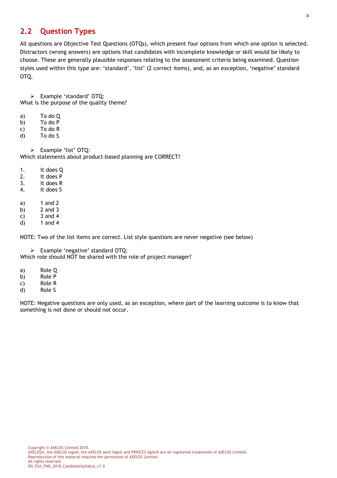### **2.2 Question Types**

All questions are Objective Test Questions (OTQs), which present four options from which one option is selected. Distractors (wrong answers) are options that candidates with incomplete knowledge or skill would be likely to choose. These are generally plausible responses relating to the assessment criteria being examined. Question styles used within this type are: 'standard', 'list' (2 correct items), and, as an exception, 'negative' standard OTQ.

➢ Example 'standard' OTQ: What is the purpose of the quality theme?

- a) To do Q
- b) To do P
- c) To do R
- d) To do S

➢ Example 'list' OTQ: Which statements about product-based planning are CORRECT?

- 1. It does Q
- 2. It does P
- 3. It does R
- 4. It does S
- a) 1 and 2
- b) 2 and 3
- c)  $3$  and 4
- d) 1 and 4

NOTE: Two of the list items are correct. List style questions are never negative (see below)

➢ Example 'negative' standard OTQ:

Which role should NOT be shared with the role of project manager?

- a) Role Q
- b) Role P
- c) Role R
- d) Role S

NOTE: Negative questions are only used, as an exception, where part of the learning outcome is to know that something is not done or should not occur.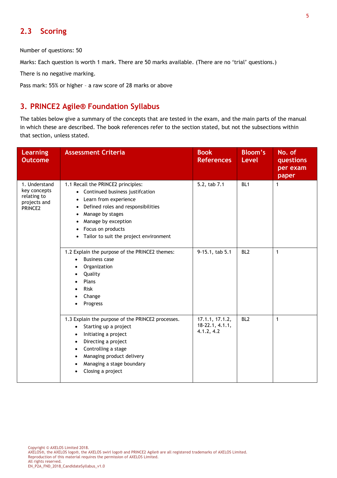## **2.3 Scoring**

Number of questions: 50

Marks: Each question is worth 1 mark. There are 50 marks available. (There are no 'trial' questions.)

There is no negative marking.

Pass mark: 55% or higher – a raw score of 28 marks or above

#### **3. PRINCE2 Agile® Foundation Syllabus**

The tables below give a summary of the concepts that are tested in the exam, and the main parts of the manual in which these are described. The book references refer to the section stated, but not the subsections within that section, unless stated.

| <b>Learning</b><br><b>Outcome</b>                                       | <b>Assessment Criteria</b>                                                                                                                                                                                                                                                                            | <b>Book</b><br><b>References</b>                   | <b>Bloom's</b><br><b>Level</b> | No. of<br>questions<br>per exam<br>paper |
|-------------------------------------------------------------------------|-------------------------------------------------------------------------------------------------------------------------------------------------------------------------------------------------------------------------------------------------------------------------------------------------------|----------------------------------------------------|--------------------------------|------------------------------------------|
| 1. Understand<br>key concepts<br>relating to<br>projects and<br>PRINCE2 | 1.1 Recall the PRINCE2 principles:<br>Continued business justifcation<br>$\bullet$<br>Learn from experience<br>$\bullet$<br>Defined roles and responsibilities<br>Manage by stages<br>٠<br>Manage by exception<br>Focus on products<br>Tailor to suit the project environment<br>$\bullet$            | 5.2, tab 7.1                                       | BL <sub>1</sub>                | $\mathbf{1}$                             |
|                                                                         | 1.2 Explain the purpose of the PRINCE2 themes:<br><b>Business case</b><br>$\bullet$<br>Organization<br>Quality<br>Plans<br><b>Risk</b><br>Change<br>Progress                                                                                                                                          | 9-15.1, tab 5.1                                    | BL <sub>2</sub>                | $\mathbf{1}$                             |
|                                                                         | 1.3 Explain the purpose of the PRINCE2 processes.<br>Starting up a project<br>$\bullet$<br>Initiating a project<br>$\bullet$<br>Directing a project<br>$\bullet$<br>Controlling a stage<br>$\bullet$<br>Managing product delivery<br>$\bullet$<br>Managing a stage boundary<br>٠<br>Closing a project | 17.1.1, 17.1.2,<br>$18-22.1, 4.1.1,$<br>4.1.2, 4.2 | BL <sub>2</sub>                | $\mathbf{1}$                             |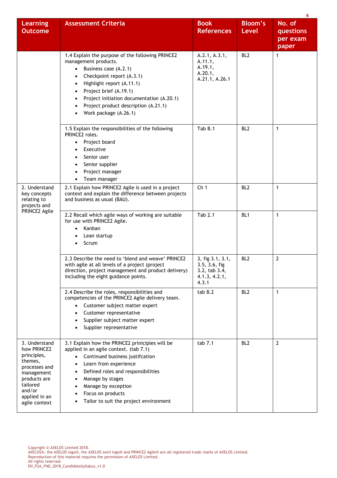|                                                                                                                                                               |                                                                                                                                                                                                                                                                                                                  |                                                                              |                                | 6                                        |
|---------------------------------------------------------------------------------------------------------------------------------------------------------------|------------------------------------------------------------------------------------------------------------------------------------------------------------------------------------------------------------------------------------------------------------------------------------------------------------------|------------------------------------------------------------------------------|--------------------------------|------------------------------------------|
| <b>Learning</b><br><b>Outcome</b>                                                                                                                             | <b>Assessment Criteria</b>                                                                                                                                                                                                                                                                                       | <b>Book</b><br><b>References</b>                                             | <b>Bloom's</b><br><b>Level</b> | No. of<br>questions<br>per exam<br>paper |
|                                                                                                                                                               | 1.4 Explain the purpose of the following PRINCE2<br>management products.<br>Business case (A.2.1)<br>$\bullet$<br>Checkpoint report (A.3.1)<br>Highlight report (A.11.1)<br>Project brief (A.19.1)<br>Project initiation documentation (A.20.1)<br>Project product description (A.21.1)<br>Work package (A.26.1) | A.2.1, A.3.1,<br>A.11.1,<br>A.19.1,<br>A.20.1,<br>A.21.1, A.26.1             | BL <sub>2</sub>                | 1                                        |
|                                                                                                                                                               | 1.5 Explain the responsibilities of the following<br>PRINCE2 roles.<br>Project board<br>Executive<br>Senior user<br>Senior supplier<br>Project manager<br>Team manager                                                                                                                                           | Tab B.1                                                                      | BL <sub>2</sub>                | $\mathbf{1}$                             |
| 2. Understand<br>key concepts<br>relating to<br>projects and                                                                                                  | 2.1 Explain how PRINCE2 Agile is used in a project<br>context and explain the difference between projects<br>and business as usual (BAU).                                                                                                                                                                        | Ch <sub>1</sub>                                                              | BL <sub>2</sub>                | $\mathbf{1}$                             |
| PRINCE2 Agile                                                                                                                                                 | 2.2 Recall which agile ways of working are suitable<br>for use with PRINCE2 Agile.<br>Kanban<br>Lean startup<br>Scrum<br>٠                                                                                                                                                                                       | Tab 2.1                                                                      | BL <sub>1</sub>                | 1                                        |
|                                                                                                                                                               | 2.3 Describe the need to 'blend and weave' PRINCE2<br>with agile at all levels of a project (project<br>direction, project management and product delivery)<br>including the eight guidance points.                                                                                                              | 3, fig 3.1, 3.1,<br>3.5, 3.6, fig<br>3.2, tab 3.4,<br>4.1.3, 4.2.1,<br>4.3.1 | BL <sub>2</sub>                | 2                                        |
|                                                                                                                                                               | 2.4 Describe the roles, responsibilities and<br>competencies of the PRINCE2 Agile delivery team.<br>Customer subject matter expert<br>Customer representative<br>Supplier subject matter expert<br>Supplier representative                                                                                       | tab B.2                                                                      | BL <sub>2</sub>                | 1                                        |
| 3. Understand<br>how PRINCE2<br>principles,<br>themes,<br>processes and<br>management<br>products are<br>tailored<br>and/or<br>applied in an<br>agile context | 3.1 Explain how the PRINCE2 priniciples will be<br>applied in an agile context. (tab 7.1)<br>Continued business justifcation<br>Learn from experience<br>Defined roles and responsibilities<br>Manage by stages<br>٠<br>Manage by exception<br>Focus on products<br>Tailor to suit the project environment       | tab 7.1                                                                      | BL <sub>2</sub>                | $\overline{2}$                           |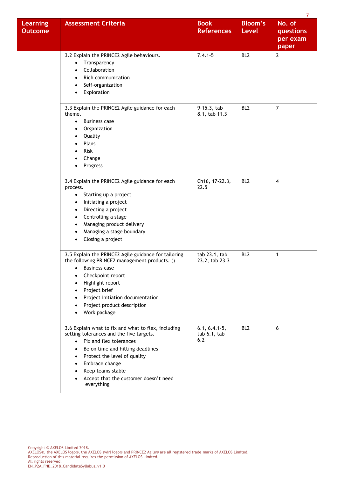|                                   |                                                                                                                                                                                                                                                                                                                          |                                        |                                | 7                                        |
|-----------------------------------|--------------------------------------------------------------------------------------------------------------------------------------------------------------------------------------------------------------------------------------------------------------------------------------------------------------------------|----------------------------------------|--------------------------------|------------------------------------------|
| <b>Learning</b><br><b>Outcome</b> | <b>Assessment Criteria</b>                                                                                                                                                                                                                                                                                               | <b>Book</b><br><b>References</b>       | <b>Bloom's</b><br><b>Level</b> | No. of<br>questions<br>per exam<br>paper |
|                                   | 3.2 Explain the PRINCE2 Agile behaviours.<br>Transparency<br>$\bullet$<br>Collaboration<br>Rich communication<br>Self-organization<br>Exploration<br>$\bullet$                                                                                                                                                           | $7.4.1 - 5$                            | BL <sub>2</sub>                | $\overline{2}$                           |
|                                   | 3.3 Explain the PRINCE2 Agile guidance for each<br>theme.<br><b>Business case</b><br>٠<br>Organization<br>Quality<br>Plans<br>Risk<br>Change<br>Progress                                                                                                                                                                 | 9-15.3, tab<br>8.1, tab 11.3           | BL <sub>2</sub>                | $\overline{7}$                           |
|                                   | 3.4 Explain the PRINCE2 Agile guidance for each<br>process.<br>Starting up a project<br>$\bullet$<br>Initiating a project<br>$\bullet$<br>Directing a project<br>٠<br>Controlling a stage<br>٠<br>Managing product delivery<br>Managing a stage boundary<br>٠<br>Closing a project<br>٠                                  | Ch16, 17-22.3,<br>22.5                 | BL <sub>2</sub>                | $\overline{4}$                           |
|                                   | 3.5 Explain the PRINCE2 Agile guidance for tailoring<br>the following PRINCE2 management products. ()<br><b>Business case</b><br>Checkpoint report<br>Highlight report<br>Project brief<br>Project initiation documentation<br>Project product description<br>Work package                                               | tab 23.1, tab<br>23.2, tab 23.3        | BL <sub>2</sub>                | 1                                        |
|                                   | 3.6 Explain what to fix and what to flex, including<br>setting tolerances and the five targets.<br>• Fix and flex tolerances<br>Be on time and hitting deadlines<br>$\bullet$<br>Protect the level of quality<br>$\bullet$<br>Embrace change<br>Keep teams stable<br>Accept that the customer doesn't need<br>everything | $6.1, 6.4.1-5,$<br>tab 6.1, tab<br>6.2 | BL <sub>2</sub>                | 6                                        |